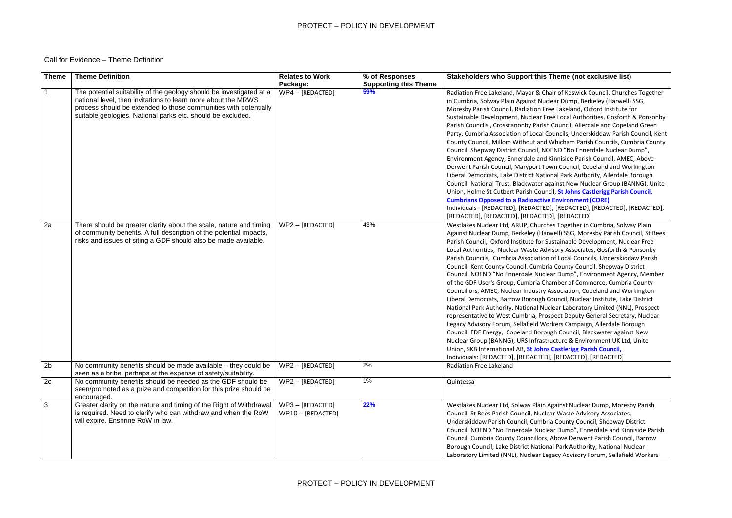# PROTECT – POLICY IN DEVELOPMENT

### **State Finds Exclusive list)**

ir of Keswick Council, Churches Together ear Dump, Berkeley (Harwell) SSG, e Lakeland, Oxford Institute for ee Local Authorities, Gosforth & Ponsonby Council, Allerdale and Copeland Green **Party, Cumbria Association Council, Kent** Whicham Parish Councils, Cumbria County END "No Ennerdale Nuclear Dump", inniside Parish Council, AMEC, Above vn Council, Copeland and Workington hal Park Authority, Allerdale Borough ainst New Nuclear Group (BANNG), Unite **Ellet St Johns Castlerigg Parish Council, Environment (CORE)** 

# Call for Evidence – Theme Definition

Indianacted], [REDACTED], [REDACTED], [REDACTED], [REDACTED], [REDACTED], [REDACTED]

es Together in Cumbria, Solway Plain vell) SSG, Moresby Parish Council, St Bees Istainable Development, Nuclear Free isory Associates, Gosforth & Ponsonby of Local Councils, Underskiddaw Parish County Council, Shepway District ar Dump", Environment Agency, Member mber of Commerce, Cumbria County ssociation, Copeland and Workington buncil, Nuclear Institute, Lake District lear Laboratory Limited (NNL), Prospect pect Deputy General Secretary, Nuclear kers Campaign, Allerdale Borough gh Council, Blackwater against New ucture & Environment UK Ltd, Unite **Castlerigg Parish Council,** Indian (REDACTED], [REDACTED]

**223 Bugainst Nuclear Dump, Moresby Parish** ar Waste Advisory Associates, County Council, Shepway District ar Dump", Ennerdale and Kinniside Parish **Nove Derwent Parish Council, Barrow Park Authority, National Nuclear** acy Advisory Forum, Sellafield Workers

| <b>Theme</b>   | <b>Theme Definition</b>                                                                                                                                                                                                                                                  | <b>Relates to Work</b><br>Package:      | % of Responses<br><b>Supporting this Theme</b> | <b>Stakeholders who Support this T</b>                                                                                                                                                                                                                                                                                                                                                                                                                                                                                                                                                                                                                                                                                  |
|----------------|--------------------------------------------------------------------------------------------------------------------------------------------------------------------------------------------------------------------------------------------------------------------------|-----------------------------------------|------------------------------------------------|-------------------------------------------------------------------------------------------------------------------------------------------------------------------------------------------------------------------------------------------------------------------------------------------------------------------------------------------------------------------------------------------------------------------------------------------------------------------------------------------------------------------------------------------------------------------------------------------------------------------------------------------------------------------------------------------------------------------------|
| $\overline{1}$ | The potential suitability of the geology should be investigated at a<br>national level, then invitations to learn more about the MRWS<br>process should be extended to those communities with potentially<br>suitable geologies. National parks etc. should be excluded. | WP4 - [REDACTED]                        | 59%                                            | Radiation Free Lakeland, Mayor & Cha<br>in Cumbria, Solway Plain Against Nucle<br>Moresby Parish Council, Radiation Free<br>Sustainable Development, Nuclear Fre<br>Parish Councils, Crosscanonby Parish (<br>Party, Cumbria Association of Local Co<br>County Council, Millom Without and W<br>Council, Shepway District Council, NOE<br>Environment Agency, Ennerdale and Ki<br>Derwent Parish Council, Maryport Tow<br>Liberal Democrats, Lake District Nation<br>Council, National Trust, Blackwater aga<br>Union, Holme St Cutbert Parish Counci<br><b>Cumbrians Opposed to a Radioactive</b><br>Individuals - [REDACTED], [REDACTED]<br>[REDACTED], [REDACTED], [REDACTED]                                        |
| 2a             | There should be greater clarity about the scale, nature and timing<br>of community benefits. A full description of the potential impacts,<br>risks and issues of siting a GDF should also be made available.                                                             | WP2 - [REDACTED]                        | 43%                                            | Westlakes Nuclear Ltd, ARUP, Churche<br>Against Nuclear Dump, Berkeley (Harw<br>Parish Council, Oxford Institute for Sus<br>Local Authorities, Nuclear Waste Advis<br>Parish Councils, Cumbria Association o<br>Council, Kent County Council, Cumbria<br>Council, NOEND "No Ennerdale Nuclea<br>of the GDF User's Group, Cumbria Cha<br>Councillors, AMEC, Nuclear Industry As<br>Liberal Democrats, Barrow Borough Co<br>National Park Authority, National Nucle<br>representative to West Cumbria, Prosp<br>Legacy Advisory Forum, Sellafield Worl<br>Council, EDF Energy, Copeland Boroug<br>Nuclear Group (BANNG), URS Infrastru<br>Union, SKB International AB, St Johns O<br>Individuals: [REDACTED], [REDACTED], |
| 2 <sub>b</sub> | No community benefits should be made available – they could be<br>seen as a bribe, perhaps at the expense of safety/suitability.                                                                                                                                         | WP2 - [REDACTED]                        | 2%                                             | <b>Radiation Free Lakeland</b>                                                                                                                                                                                                                                                                                                                                                                                                                                                                                                                                                                                                                                                                                          |
| 2c             | No community benefits should be needed as the GDF should be<br>seen/promoted as a prize and competition for this prize should be<br>encouraged.                                                                                                                          | $WP2 - [REDACTED]$                      | 1%                                             | Quintessa                                                                                                                                                                                                                                                                                                                                                                                                                                                                                                                                                                                                                                                                                                               |
| $\mathbf{3}$   | Greater clarity on the nature and timing of the Right of Withdrawal<br>is required. Need to clarify who can withdraw and when the RoW<br>will expire. Enshrine RoW in law.                                                                                               | $WP3 - [REDACTED]$<br>WP10 - [REDACTED] | 22%                                            | Westlakes Nuclear Ltd, Solway Plain Ag<br>Council, St Bees Parish Council, Nuclea<br>Underskiddaw Parish Council, Cumbria<br>Council, NOEND "No Ennerdale Nuclea<br>Council, Cumbria County Councillors, A<br>Borough Council, Lake District Nationa<br>Laboratory Limited (NNL), Nuclear Lega                                                                                                                                                                                                                                                                                                                                                                                                                          |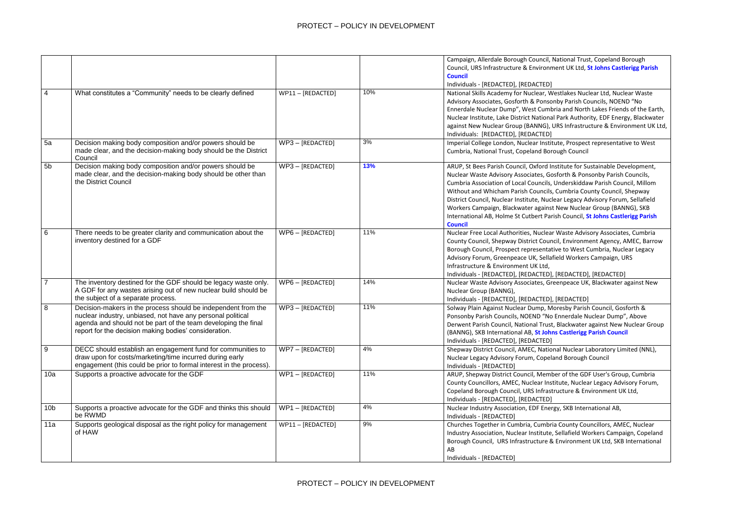National Trust, Copeland Borough ment UK Ltd, St Johns Castlerigg Parish

Vestlakes Nuclear Ltd, Nuclear Waste onby Parish Councils, NOEND "No bria and North Lakes Friends of the Earth, al Park Authority, EDF Energy, Blackwater URS Infrastructure & Environment UK Ltd,

tute, Prospect representative to West rough Council

**Institute for Sustainable Development,** osforth & Ponsonby Parish Councils, Underskiddaw Parish Council, Millom **Cumbria County Council, Shepway** lear Legacy Advisory Forum, Sellafield t New Nuclear Group (BANNG), SKB **Interational AB, International AB, St Johns Castlerigg Parish** 

r Waste Advisory Associates, Cumbria ncil, Environment Agency, AMEC, Barrow tive to West Cumbria, Nuclear Legacy field Workers Campaign, URS

, [REDACTED], [REDACTED] reenpeace UK, Blackwater against New

, [REDACTED]

**Mandal Pacter Council, Gosforth & Ennerdale Nuclear Dump", Above** t, Blackwater against New Nuclear Group **ns Castlerigg Parish Council** 

onal Nuclear Laboratory Limited (NNL), land Borough Council

ber of the GDF User's Group, Cumbria stitute, Nuclear Legacy Advisory Forum, tructure & Environment UK Ltd,

rgy, SKB International AB,

ia County Councillors, AMEC, Nuclear Sellafield Workers Campaign, Copeland Borough Council, Environment UK Ltd, SKB International

|                 |                                                                                                                                                                                                                                                         |                    |     | Campaign, Allerdale Borough Council,<br>Council, URS Infrastructure & Environn<br><b>Council</b><br>Individuals - [REDACTED], [REDACTED]                                                                                                                                                                           |
|-----------------|---------------------------------------------------------------------------------------------------------------------------------------------------------------------------------------------------------------------------------------------------------|--------------------|-----|--------------------------------------------------------------------------------------------------------------------------------------------------------------------------------------------------------------------------------------------------------------------------------------------------------------------|
| $\overline{4}$  | What constitutes a "Community" needs to be clearly defined                                                                                                                                                                                              | WP11 - [REDACTED]  | 10% | National Skills Academy for Nuclear, W<br>Advisory Associates, Gosforth & Ponso<br>Ennerdale Nuclear Dump", West Cumb<br>Nuclear Institute, Lake District Nationa<br>against New Nuclear Group (BANNG),<br>Individuals: [REDACTED], [REDACTED]                                                                     |
| 5a              | Decision making body composition and/or powers should be<br>made clear, and the decision-making body should be the District<br>Council                                                                                                                  | $WP3 - [REDACTED]$ | 3%  | Imperial College London, Nuclear Instit<br>Cumbria, National Trust, Copeland Bor                                                                                                                                                                                                                                   |
| 5 <sub>b</sub>  | Decision making body composition and/or powers should be<br>made clear, and the decision-making body should be other than<br>the District Council                                                                                                       | WP3-[REDACTED]     | 13% | ARUP, St Bees Parish Council, Oxford In<br>Nuclear Waste Advisory Associates, Go<br>Cumbria Association of Local Councils,<br>Without and Whicham Parish Councils<br>District Council, Nuclear Institute, Nucl<br>Workers Campaign, Blackwater against<br>International AB, Holme St Cutbert Par<br><b>Council</b> |
| 6               | There needs to be greater clarity and communication about the<br>inventory destined for a GDF                                                                                                                                                           | $WPS - [REDACTED]$ | 11% | Nuclear Free Local Authorities, Nuclear<br>County Council, Shepway District Coun<br>Borough Council, Prospect representat<br>Advisory Forum, Greenpeace UK, Sella<br>Infrastructure & Environment UK Ltd,<br>Individuals - [REDACTED], [REDACTED]                                                                  |
| $\overline{7}$  | The inventory destined for the GDF should be legacy waste only.<br>A GDF for any wastes arising out of new nuclear build should be<br>the subject of a separate process.                                                                                | WP6 - [REDACTED]   | 14% | Nuclear Waste Advisory Associates, Gr<br>Nuclear Group (BANNG),<br>Individuals - [REDACTED], [REDACTED]                                                                                                                                                                                                            |
| 8               | Decision-makers in the process should be independent from the<br>nuclear industry, unbiased, not have any personal political<br>agenda and should not be part of the team developing the final<br>report for the decision making bodies' consideration. | WP3-[REDACTED]     | 11% | Solway Plain Against Nuclear Dump, M<br>Ponsonby Parish Councils, NOEND "No<br>Derwent Parish Council, National Trust<br>(BANNG), SKB International AB, St John<br>Individuals - [REDACTED], [REDACTED]                                                                                                            |
| 9               | DECC should establish an engagement fund for communities to<br>draw upon for costs/marketing/time incurred during early<br>engagement (this could be prior to formal interest in the process).                                                          | WP7 - [REDACTED]   | 4%  | Shepway District Council, AMEC, Natio<br>Nuclear Legacy Advisory Forum, Copela<br>Individuals - [REDACTED]                                                                                                                                                                                                         |
| 10a             | Supports a proactive advocate for the GDF                                                                                                                                                                                                               | WP1-[REDACTED]     | 11% | ARUP, Shepway District Council, Meml<br>County Councillors, AMEC, Nuclear Ins<br>Copeland Borough Council, URS Infrast<br>Individuals - [REDACTED], [REDACTED]                                                                                                                                                     |
| 10 <sub>b</sub> | Supports a proactive advocate for the GDF and thinks this should<br>be RWMD                                                                                                                                                                             | WP1-[REDACTED]     | 4%  | Nuclear Industry Association, EDF Ener<br>Individuals - [REDACTED]                                                                                                                                                                                                                                                 |
| 11a             | Supports geological disposal as the right policy for management<br>of HAW                                                                                                                                                                               | WP11-[REDACTED]    | 9%  | Churches Together in Cumbria, Cumbri<br>Industry Association, Nuclear Institute,<br>Borough Council, URS Infrastructure 8<br>AB<br>Individuals - [REDACTED]                                                                                                                                                        |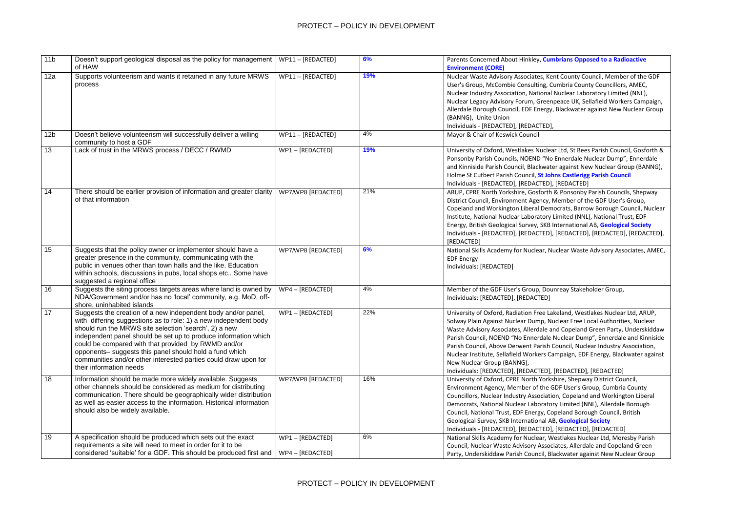## **Mbrians Opposed to a Radioactive**

ent County Council, Member of the GDF Cumbria County Councillors, AMEC, | Nuclear Laboratory Limited (NNL), npeace UK, Sellafield Workers Campaign, y, Blackwater against New Nuclear Group

ar Ltd, St Bees Parish Council, Gosforth & **Ennerdale Nuclear Dump", Ennerdale** ter against New Nuclear Group (BANNG), **hns Castlerigg Parish Council** ], [REDACTED]

& Ponsonby Parish Councils, Shepway Member of the GDF User's Group, nocrats, Barrow Borough Council, Nuclear Instituted (NNL), National Trust, EDF **International AB, Geological Society** ], [REDACTED], [REDACTED], [REDACTED],

**Nuclear Waste Advisory Associates, AMEC,** 

unreay Stakeholder Group,

akeland, Westlakes Nuclear Ltd, ARUP, Juclear Free Local Authorities, Nuclear and Copeland Green Party, Underskiddaw **Nuclear Dump", Ennerdale and Kinniside Inc.** Council, Nuclear Industry Association, Campaign, EDF Energy, Blackwater against

#### , [REDACTED], [REDACTED]

shire, Shepway District Council, GDF User's Group, Cumbria County ion, Copeland and Workington Liberal Dry Limited (NNL), Allerdale Borough Opeland Borough Council, British **AB, Geological Society** ], [REDACTED], [REDACTED]

Vestlakes Nuclear Ltd, Moresby Parish ciates, Allerdale and Copeland Green **Iackwater against New Nuclear Group** 

| 11 <sub>b</sub> | Doesn't support geological disposal as the policy for management<br>of HAW                                                                                                                                                                                                                                                                                                                                                                                                    | WP11 - [REDACTED]                  | 6%  | Parents Concerned About Hinkley, Cun<br><b>Environment (CORE)</b>                                                                                                                                                                                                                                                             |
|-----------------|-------------------------------------------------------------------------------------------------------------------------------------------------------------------------------------------------------------------------------------------------------------------------------------------------------------------------------------------------------------------------------------------------------------------------------------------------------------------------------|------------------------------------|-----|-------------------------------------------------------------------------------------------------------------------------------------------------------------------------------------------------------------------------------------------------------------------------------------------------------------------------------|
| 12a             | Supports volunteerism and wants it retained in any future MRWS<br>process                                                                                                                                                                                                                                                                                                                                                                                                     | WP11 - [REDACTED]                  | 19% | Nuclear Waste Advisory Associates, Ke<br>User's Group, McCombie Consulting, C<br>Nuclear Industry Association, National<br>Nuclear Legacy Advisory Forum, Green<br>Allerdale Borough Council, EDF Energy,<br>(BANNG), Unite Union<br>Individuals - [REDACTED], [REDACTED],                                                    |
| 12 <sub>b</sub> | Doesn't believe volunteerism will successfully deliver a willing<br>community to host a GDF                                                                                                                                                                                                                                                                                                                                                                                   | WP11 - [REDACTED]                  | 4%  | Mayor & Chair of Keswick Council                                                                                                                                                                                                                                                                                              |
| 13              | Lack of trust in the MRWS process / DECC / RWMD                                                                                                                                                                                                                                                                                                                                                                                                                               | WP1-[REDACTED]                     | 19% | University of Oxford, Westlakes Nuclea<br>Ponsonby Parish Councils, NOEND "No<br>and Kinniside Parish Council, Blackwate<br>Holme St Cutbert Parish Council, St Joh<br>Individuals - [REDACTED], [REDACTED],                                                                                                                  |
| 14              | There should be earlier provision of information and greater clarity<br>of that information                                                                                                                                                                                                                                                                                                                                                                                   | WP7/WP8 [REDACTED]                 | 21% | ARUP, CPRE North Yorkshire, Gosforth<br>District Council, Environment Agency, I<br>Copeland and Workington Liberal Dem<br>Institute, National Nuclear Laboratory<br>Energy, British Geological Survey, SKB I<br>Individuals - [REDACTED], [REDACTED],<br>[REDACTED]                                                           |
| $\overline{15}$ | Suggests that the policy owner or implementer should have a<br>greater presence in the community, communicating with the<br>public in venues other than town halls and the like. Education<br>within schools, discussions in pubs, local shops etc Some have<br>suggested a regional office                                                                                                                                                                                   | WP7/WP8 [REDACTED]                 | 6%  | National Skills Academy for Nuclear, No<br><b>EDF Energy</b><br>Individuals: [REDACTED]                                                                                                                                                                                                                                       |
| 16              | Suggests the siting process targets areas where land is owned by<br>NDA/Government and/or has no 'local' community, e.g. MoD, off-<br>shore, uninhabited islands                                                                                                                                                                                                                                                                                                              | WP4 - [REDACTED]                   | 4%  | Member of the GDF User's Group, Dou<br>Individuals: [REDACTED], [REDACTED]                                                                                                                                                                                                                                                    |
| 17              | Suggests the creation of a new independent body and/or panel,<br>with differing suggestions as to role: 1) a new independent body<br>should run the MRWS site selection 'search', 2) a new<br>independent panel should be set up to produce information which<br>could be compared with that provided by RWMD and/or<br>opponents- suggests this panel should hold a fund which<br>communities and/or other interested parties could draw upon for<br>their information needs | WP1-[REDACTED]                     | 22% | University of Oxford, Radiation Free La<br>Solway Plain Against Nuclear Dump, Nu<br>Waste Advisory Associates, Allerdale a<br>Parish Council, NOEND "No Ennerdale<br>Parish Council, Above Derwent Parish (<br>Nuclear Institute, Sellafield Workers Ca<br>New Nuclear Group (BANNG),<br>Individuals: [REDACTED], [REDACTED], |
| 18              | Information should be made more widely available. Suggests<br>other channels should be considered as medium for distributing<br>communication. There should be geographically wider distribution<br>as well as easier access to the information. Historical information<br>should also be widely available.                                                                                                                                                                   | WP7/WP8 [REDACTED]                 | 16% | University of Oxford, CPRE North Yorks<br>Environment Agency, Member of the G<br>Councillors, Nuclear Industry Associatio<br>Democrats, National Nuclear Laborator<br>Council, National Trust, EDF Energy, Co<br>Geological Survey, SKB International Al<br>Individuals - [REDACTED], [REDACTED],                             |
| 19              | A specification should be produced which sets out the exact<br>requirements a site will need to meet in order for it to be<br>considered 'suitable' for a GDF. This should be produced first and                                                                                                                                                                                                                                                                              | WP1-[REDACTED]<br>WP4 - [REDACTED] | 6%  | National Skills Academy for Nuclear, W<br>Council, Nuclear Waste Advisory Assoc<br>Party, Underskiddaw Parish Council, Bl                                                                                                                                                                                                     |